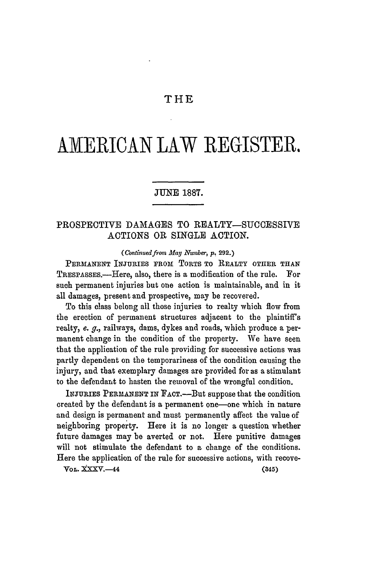## THE

## AMERICAN LAW **REGISTER.**

## **JUNE 1887.**

## PROSPECTIVE **DAMAGES** TO REALTY-SUCCESSIVE ACTIONS OR SINGLE ACTION.

*( Continued from May Number,* **p.** 292.)

PERMANENT INJURIES FROm TORTS TO REALTY OTHER **THAN** TRESPASSE.-Here, also, there is a modification of the rule. For such permanent injuries but one action is maintainable, and in it all damages, present and prospective, may be recovered.

To this class belong all those injuries to realty which flow from the erection of permanent structures adjacent to the plaintiff's realty, e. *g.,* railways, dams, dykes and roads, which produce a permanent change in the condition of the property. We have seen that the application of the rule providing for successive actions was partly dependent on the temporariness of the condition causing the injury, and that exemplary damages are provided for as a stimulant to the defendant to hasten the removal of the wrongful condition.

INJURIES PERMANENT IN FACT.—But suppose that the condition created by the defendant is a permanent one-one which in nature and design is permanent and must permanently affect the value of neighboring property. Here it is no longer a question whether future damages may be averted or not. Here punitive damages will not stimulate the defendant to a change of the conditions. Here the application of the rule for successive actions, with recove-

 $V_{\text{OL}}$ ,  $\overline{XXXY}_{1}$ ,  $-44$  (345)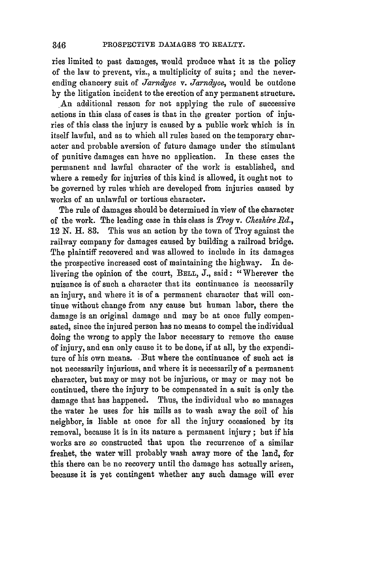ries limited to past damages, would produce what it is the policy of the law to prevent, viz., a multiplicity of suits; and the neverending chancery suit of *Jarndyce v. Jarndyce,* would be outdone by the litigation incident to the erection of any permanent structure.

An additional reason for not applying the rule of successive actions in this class of cases is that in the greater portion of injuries of this class the injury is caused by a public work which is in itself lawful, and as to which all rules based on the temporary character and probable aversion of future damage under the stimulant of punitive damages can have no application. In these cases the permanent and lawful character of the work is established, and where a remedy for injuries of this kind is allowed, it ought not to be governed by rules which are developed from injuries caused by works of an unlawful or tortious character.

The rule of damages should be determined in view of the character of the work. The leading case in this class is *Troy v. Cheshire Bd.,* 12 N. H. 83. This was an action **by** the town of Troy against the railway company for damages caused **by** building a railroad bridge. The plaintiff recovered and was allowed to include in its damages the prospective increased cost of maintaining the highway. In delivering the opinion of the court, BELL, **J.,** said: "Wherever the nuisance is of such a character that its continuance is necessarily an injury, and where it is of a permanent character that will continue without change from any cause but human labor, there the damage is an original damage and may be at once fully compensated, since the injured person has no means to compel the individual doing the wrong to apply the labor necessary to remove the cause of injury, and can only cause it to be done, if at all, by the expenditure of his own means. • But where the continuance of such act is not necessarily injurious, and where it is necessarily of a permanent character, but may or may not be injurious, or may or may not be continued, there the injury to be compensated in a suit is only the. damage that has happened. Thus, the individual who so manages the water he uses for his mills as to wash away the soil of his neighbor, is liable at once for all the injury occasioned by its removal, because it is in its nature a permanent injury; but if his works are so constructed that upon the recurrence of a similar freshet, the water will probably wash away more of the land, for this there can be no recovery until the damage has actually arisen, because it is yet contingent whether any such damage will ever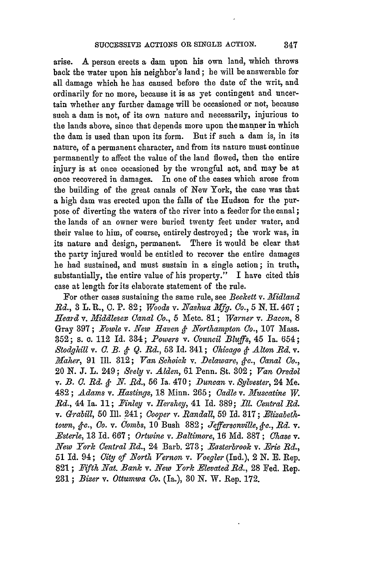arise. **A** person erects a dam upon his own land, which throws back the water upon his neighbor's land; he will be answerable for all damage which he has caused before the date of the writ, and ordinarily for no more, because it is as yet contingent and uncertain whether any further damage will be occasioned or not, because such a dam is not, of its own nature and necessarily, injurious to the lands above, since that depends more upon the manner in which the dam is used than upon its form. But if such a dam is, in its nature, of a permanent character, and from its nature must continue permanently to affect the value of the land flowed, then the entire injury is at once occasioned **by** the wrongful act, and may be at once recovered in damages. In one of the cases which arose from the building of the great canals of New York, the case was that a high dam was erected upon the falls of the Hudson for the purpose of diverting the waters of the river into a feeder for the canal; the lands of an owner were buried twenty feet under water, and their value to him, of course, entirely destroyed; the work was, in its nature and design, permanent. There it would be clear that the party injured would be entitled to recover the entire damages he had sustained, and must sustain in a single action; in truth, substantially, the entire value of his property." I have cited this case at length for its elaborate statement of the rule.

For other cases sustaining the same rule, see *Beckett v. Midland Rd.,* **3** L. 11., **0.** P. **82;** *Woods v. Nashua Mfg. Co.,* **5 N.** H. 467 **;** *ffeard v. Middlesex Canal Co.,* **5** Metc. 81; *Warner v. Bacon, 8* Gray 397; *Fowle v. New Raven & Northampton Co.,* 107 Mass. 352; s. **a.** 112 Id. 334; *Powers v. Council Bluffs,* 45 Ia. 654; *Stodghill v.* **0.** *B. &* **Q.** *Rd.,* 53 Id. 341; *Chicago & Alton Rd.* v. *ifaher,* 91 Ill. 312; Fan *Schoick v. Delaware, &c., Canal Co.,* 20 N. J. L. 249; *Seely v. Alden,* 61 Penn. St. 302; *Van Orsdol* v. *B. C. Rd. & N. -d.,* 56 Ia. 470; *Duncan* v. *Sylvester,* 24 Me. 482; *Adams v. Hastings,* 18 Minn. 265; *Cadle v. Muscatine W. Rd.,* 44 Ia. 11; *.Finley v. Hershey,* 41 Id. 389; *ll. Central Rd.* v. *Grabill*, 50 Ill. 241; *Cooper v. Randall*, 59 Id. 317; *Elizabethtown, ft., Co. v. Combs,* 10 Bush **382** ; *Jeffersonville, &c., Rd. v. .Esterle,* 13 Id. 667; *Ortwine v. Baltimore,* 16 Md. 887; *Chase v. New York Central Rd.,* 24 Barb. **273;** *-Easterbrook v. -Erie Rd.,* 51 Id. 94; *City of \_North Vernon v. Voegler* (Ind.), 2 N. **E.** Rep. 821; Fifth Nat. Bank v. New York Elevated Rd., 28 Fed. Rep. **231** ; *Bizer v. Ottumwa Co.* (Ia.), **30** *N.* W. Rep. 172.

347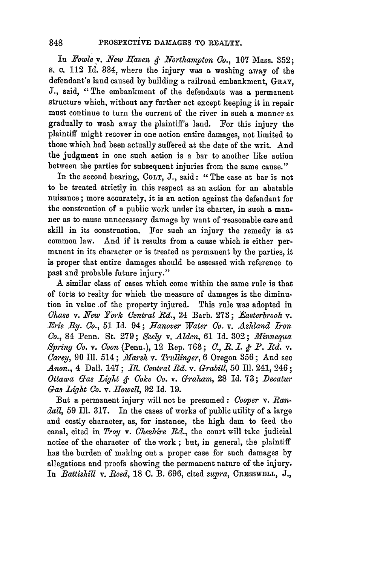In *Fowle v. New Haven & Northampton Co.,* **107** Mass. 852; s. **c.** 112 Id. **334,** where the injury was a washing away of the defendant's land caused by building a railroad embankment, GRAY, **J.,** said, "The embankment of the defendants was a permanent structure which, without any further act except keeping it in repair must continue to turn the current of the river in such a manner as gradually to wash away the plaintiff's land. For this injury the plaintiff might recover in one action entire damages, not limited to those which had been actually suffered at the date of the writ. And the judgment in one such action is a bar to another like action between the parties for subsequent injuries from the same cause."

In the second hearing, **COLT, J.,** said: "The case at bar is not to be treated strictly in this respect as an action for an abatable nuisance; more accurately, it is an action against the defendant for the construction of a public work under its charter, in such a manner as to cause unnecessary damage by want of reasonable care and skill in its construction. For such an injury the remedy is at common law. And if it results from a cause which is either permanent in its character or is treated as permanent by the parties, it is proper that entire damages should be assessed with reference to past and probable future injury."

A similar class of cases which come within the same rule is that of torts to realty for which the measure of damages is the diminution in value .of the property injured. This rule was adopted in *Chase v. New York Central Rd.,* 24 Barb. **273;** *Easterbrook v. .Erie .Ry. Co.,* 51 Id. 94; *Hanover Water Co. v. Ashland Iron Co.,* 84 Penn. St. 279; *Seely v. Alden,* 61 Id. 302; *iinnequa Spring Co. v. Coon* (Penn.), 12 Rep. 763; *C., B. 1. &--P. Rd.* v. *Carey,* 90 Ill. 514; *Harsh v. Trullinger,* 6 Oregon 356; And see *Anon.,* 4 Dall. 147 ; *l. Central Rd. v. Grabill,* 50 Ill. 241, 246 **;** *Ottawa Gas Light* & *Coke Co. v. Graham,* **28** Id. **73;** *Decatur Gas Liqht Co. v. Howell,* 92 Id. 19.

But a permanent injury will not be presumed : *Cooper v. Ran*dall, 59 Ill. 317. In the cases of works of public utility of a large and costly character, as, for instance, the high dam to feed the canal, cited in *Troy v. Cheshire Rd.,* the court will take judicial notice of the character of the work ; but, in general, the plaintiff has the burden of making out a proper case for such damages by allegations and proofs showing the permanent nature of the injury. In *Battishill v. Reed,* 18 **C.** B. 696, cited *supra,* **CRESSWELL,** *J.,*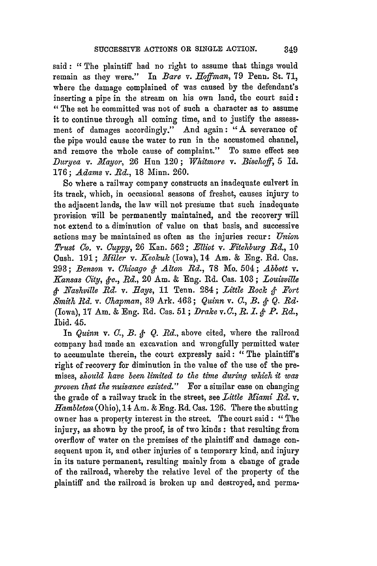said: "The plaintiff had no right to assume that things would remain as they were." In *Bare v. Hoffman,* 79 Penn. St. 71, where the damage complained of was caused by the defendant's inserting a pipe in the stream on his own land, the court said: "The act he committed was not of such a character as to assume it to continue through all coming time, and to justify the assessment of damages accordingly." And again: "A severance of the pipe would cause the water to run in the accustomed channel, and remove the whole cause of complaint." To same effect see *Duryea v. .Mayor,* 26 Hun 120; *Whitmore v. Bischoff,* 5 Id. 176; *Adams v. Rd.,* 18 Minn. 260.

So where a railway company constructs an inadequate culvert in its track, which, in occasional seasons of freshet, causes injury to the adjacent lands, the law will not presume that such inadequate provision will be permanently maintained, and the recovery will not extend to a diminution of value on that basis, and successive actions may be maintained as often as the injuries recur: *Union Trust Co. v. CUppy,* **26** Kan. 562; *-Elliot v. Fitchburg Rd.,* 10 Gush. 191; *Miller v. Keokuk* (Iowa), 14 Am. & Eng. Rd. Cas. 293; *Benson v. Chicago & Alton Rd.,* 78 Mo. 504; *Abbott v. Kansas City, &c., Bd.,* 20 Am. & Eng. Rd. Cas. 103; *Louisville & Nashville Rd. v. Rays,* 11 Tenn. 284; *Little Rock & Fort Smith Rd. v. Chapman,* 39 Ark. 463; *Quinn v. C., B. & Q. Rd.* (Iowa), 17 Am. & Eng. Rd. Gas. 51 ; *Drake v.C., R. -1.* ' *P. Rd.,* Ibid. 45.

In *Quinn* v. *C., B. &* Q. *Bd.,* above cited, where the railroad company had made an excavation and wrongfully permitted water to accumulate therein, the court expressly said: " The plaintiff's right of recovery for diminution in the value of the use of the premises, *should have been limited to the time during which it was proven that the nuisance existed."* For a similar case on changing the grade of a railway track in the street, see *Little 1Mfiami Bd. v. Hambleton* (Ohio), 14 Am. & Eng. Rd. Cas. 126. There the abutting owner has a property interest in the street. The court said: "The injury, as shown by the proof, is of two kinds : that resulting from overflow of water on the premises of the plaintiff and damage consequent upon it, and other injuries of a temporary kind, and injury in its nature permanent, resulting mainly from a. change of grade of the railroad, whereby the relative level of the property of the plaintiff and the railroad is broken up and destroyed, and perma-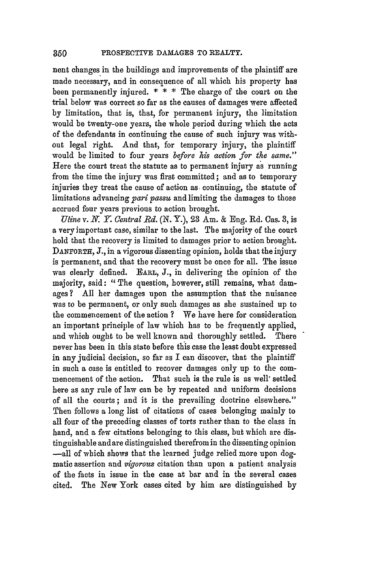nent changes in the buildings and improvements of the plaintiff are made necessary, and in consequence of all which his property has been permanently injured.  $* * *$  The charge of the court on the trial below was correct so far as the causes of damages were affected by limitation, that is, that, for permanent injury, the limitation would be twenty-one years, the whole period during which the acts of the defendants in continuing the cause of such injury was without legal right. And that, for temporary injury, the plaintiff would be limited to four years *before his action for the same."* Here the court treat the statute as to permanent injury as running from the time the injury was first committed; and as to temporary injuries they treat the cause of action as. continuing, the statute of limitations advancing *pari passu* and limiting the damages to those accrued four years previous to action brought.

*Uline v.* **N.** . *Central Rd. (N.* Y.), **23** Am. & Eng. Rd. Cas. 3, is a very important case, similar to the last. The majority of the court hold that the recovery is limited to damages prior to action brought. DANFORTH, J., in a vigorous dissenting opinion, holds that the injury is permanent, and that the recovery must be once for all. The issue was clearly defined. **EARL, J.,** in delivering the opinion of the majority, said: " The question, however, still remains, what damages ? All her damages upon the assumption that the nuisance was to be permanent, or only such damages as she sustained up to the commencement of the action ? We have here for consideration an important principle of law which has to be frequently applied, and which ought to be well known and thoroughly settled. There never has been in this state before this case the least doubt expressed in any judicial decision, so far as I can discover, that the plaintiff in such a case is entitled to recover damages only up to the commencement of the action. That such is the rule is as well settled here as any rule of law can be by repeated and uniform decisions of all the courts; and it is the prevailing doctrine elsewhere." Then follows a long list of citations of cases belonging mainly to all four of the preceding classes of torts rather than to the class in hand, and a few citations belonging to this class, but which are distinguishable and are distinguished therefrom in the dissenting opinion -all of which shows that the learned judge relied more upon dogmatic assertion and *vigorous* citation than upon a patient analysis of the facts in issue in the case at bar and in the several cases cited. The New York cases cited **by** him are distinguished **by**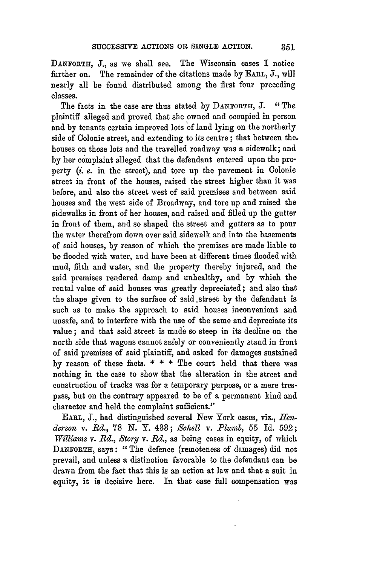DANFORTH, **J.,** as we shall see. The Wisconsin cases I notice further on. The remainder of the citations made **by** EARL, J., will nearly all be found distributed among the first four preceding classes.

The facts in the case are thus stated **by** DANFORTH, **J.** "The plaintiff alleged and proved that she owned and occupied in person and **by** tenants certain improved lots 'of land lying on the northerly side of Colonie street, and extending to its centre; that between the. houses on those lots and the travelled roadway was a sidewalk; and **by** her complaint alleged that the defendant entered upon the property *(i.* e. in the street), and tore up the pavement in Colonic street in front of the houses, raised the street higher than it was before, and also the street west of said premises and between said houses and the west side of Broadway, and tore up and raised the sidewalks in front of her houses, and raised and filled up the gutter in front of them, and so shaped the street and gutters as to pour the water therefrom down over said sidewalk and into the basements of said houses, **by** reason of which the premises are made liable to be flooded with water, and have been at different times flooded with mud, filth and water, and the property thereby injured, and the said premises rendered damp and unhealthy, and **by** which the rental value of said houses was greatly depreciated; and also that the shape given to the surface of said .street **by** the defendant is such as to make the approach to said houses inconvenient and unsafe, and to interfere with the use of the same and depreciate its value ; and that said street is made so steep in its decline on the north side that wagons cannot safely or conveniently stand in front of said premises of said plaintiff, and asked for damages sustained **by** reason of these facts. \* \* \* The court held that there was nothing in the case to show that the alteration in the street and construction of tracks was for a temporary purpose, or a mere trespass, but on the contrary appeared to be of a permanent kind and character and held the complaint sufficient."

EARL, J., had distinguished several New York cases, viz., *Henderson v. Rd.,* **78** N. Y. 433; *Schell v. Plumb,* 55 Id. 592; *Williams v. Bd., Story v. Bd.,* as being eases in equity, of which DANFORTH, says **:** "The defence (remoteness of damages) did not prevail, and unless a distinction favorable to the defendant can be drawn from the fact that this is an action at law and that a suit in equity, it is decisive here. In that case full compensation was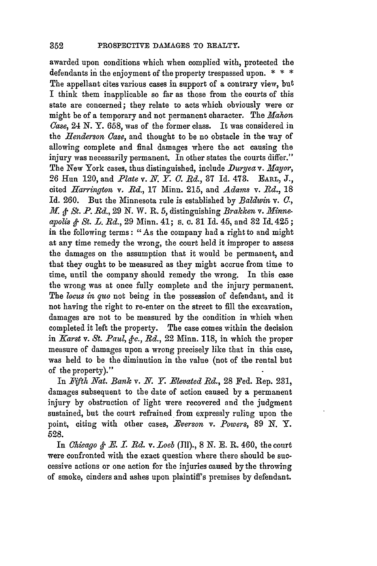awarded upon conditions which when complied with, protected the defendants in the enjoyment of the property trespassed upon.  $* * *$ The appellant cites various cases in support of a contrary view, but I think them inapplicable so far as those from the courts of this state are concerned; they relate to acts which obviously were or might be of a temporary and not permanent character. The *Mahon Case,* 24 N. Y. 658, was of the former class. It was considered in the *Henderson* Case, and thought to be no obstacle in the way of allowing complete and final damages where the act causing the injury was necessarily permanent. In other states the courts differ." The New York cases, thus distinguished, include  $Duryea$  v. Mayor, 26 Hun 120, and *Plate v. N.* Y. *C. Rd.,* **37** Id. 473. EARL, **J.,** cited *Harrington v. Bd.,* 17 Minn. 215, and *Adams v. Bd.,* <sup>18</sup> Id. 260. But the Minnesota rule is established by *Baldwin v. C, M 4 St. P. Bd.,* 29 N. W. R. 5, distinguishing *Brakken* v. *llinne. apolis* **&.** *St. 1L. Rd.,* **29** Minn. 41; s. *c.* 81 Id. 45, and 32 Id. 425 **;** in the following terms: "As the company had a right to and might at any time remedy the wrong, the court held it improper to assess the damages on the assumption that it would be permanent, and that they ought to be measured as they might accrue from time to time, until the company should remedy the wrong. In this case the wrong was at once fully complete and the injury permanent. The *locus in quo* not being in the possession of defendant, and it not having the right to re-enter on the street to fill the excavation, damages are not to be measured by the condition in which when completed it left the property. The case comes within the decision in *Karst v. St. Paul, &c., Rd.,* 22 Minn. 118, in which the proper measure of damages upon a wrong precisely like that in this case, was held to be the diminution in the value (not of the rental but of the property)."

In *Fifth Nat. Bank v. N.* **Y.** *Elevated Rd.,* **28** Fed. Rep. **231,** damages subsequent to the date of action caused by a permanent injury **by** obstruction of light were recovered and the judgment sustained, but the court refrained from expressly ruling upon the point, citing with other cases, *Everson v. Powers,* 89 N. Y. **528.**

In *Chicago & E. I. Rd. v. Loeb* (Ill)., 8 N. E. R. 460, the court were confronted with the exact question where there should be successive actions or one action for the injuries caused by the throwing of smoke, cinders and ashes upon plaintiff's premises **by** defendant.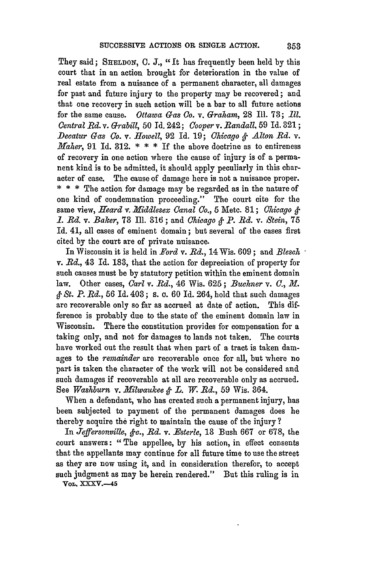They said; SHELDON, **0. J.,** "It has frequently been held **by** this court that in an action brought for deterioration in the value of real estate from a nuisance of a permanent character, all damages for past and future injury to the property may be recovered; and that one recovery in such action will be a bar to all future actions for the same cause. *Ottawa Gas Co. v. Graham,* **28** Ill. **73;** *ill. Central Rd. v. Grabill,* 50 Id. 242; *Cooper v. Randall,* 59 Id. 321; *-Decatur Gas Co. v. Howell,* **92** Id. 19; *Chicago & Alton Rd.* v. *Maher*, 91 Id. 312.  $* * *$  If the above doctrine as to entireness of recovery in one action where the cause of injury is of a permanent kind is to be admitted, it should apply peculiarly in this character of case. The cause of damage here is not a nuisance proper. **\* \* \*** The action for damage may be regarded as in the nature of one kind of condemnation proceeding." The court cite for the same view, *Heard v. Middlesex Canal Co.,* **5** Mete. **81;** *Chicago & . Rd. v. Baker,* **73** Ill. **316** ; and *Micago & P. Rd. v. Stein,* **75** Id. 41, all cases of eminent domain; but several of the cases first cited by the court are of private nuisance.

In Wisconsin it is held in *Ford v. Rd.*, 14 Wis. 609; and *Blesch* v. *Rd.,* 43 Id. 183, that the action for depreciation of property for such causes must be by statutory petition within the eminent domain law. Other cases, *Carl v. Rd.*, 46 Wis. 625; *Buchner v. C., M. & St. P. Rd.,* 56 Id. 403; s. c. 60 Id. 264, hold that such damages are recoverable only so far as accrued at date of action. This difference is probably due to the state of the eminent domain law in Wisconsin. There the constitution provides for compensation for a taking only, and not for damages to lands not taken. The courts have worked out the result that when part of a tract is taken damages to the *remainder* are recoverable once for all, but where no part is taken the character of the work will not be considered and such damages if recoverable at all are recoverable only as accrued. See *Washburn* v. *Milwaukee & L. W. Rd.,* 59 Wis. 364.

When a defendant, who has created such a permanent injury, has been subjected to payment of the permanent damages does he thereby acquire **the** right to maintain the cause of the injury **?**

In *Jeffersonville, &c., Rd. v. Esterle,* **13** Bush **667** or 678, the court answers: "The appellee, **by** his action, in effect consents that the appellants may continue for all future time to use the street as they are now using it, and in consideration therefor, to accept such judgment as may be herein rendered." But this ruling is in **VOL.** XXXV.-45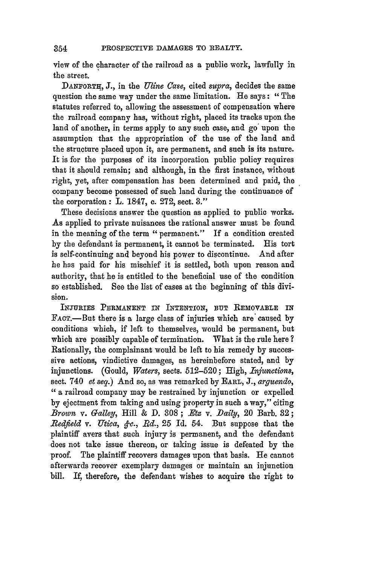view of the character of the railroad as a public work, lawfully in the street.

DANFORTH, **J.,** in the *Uline Case,* cited *supra,* decides the same question the same way under the same limitation. He says: "The statutes referred to, allowing the assessment of compensation where the railroad company has, without right, placed its tracks upon the land of another, in terms apply to any such case, and go upon the assumption that the appropriation of the use of the land and the structure placed upon it, are permanent, and such is its nature. It is for the purposes of its incorporation public policy requires that it should remain; and although, in the first instance, without right, yet, after compensation has been determined and paid, the company become possessed of such land during the continuance of the corporation **:** L. **1847, c. 272,** sect. **3."**

These decisions answer the question as applied to public works. As applied to private nuisances the rational answer must be found in the meaning of the term "permanent." **If** a condition created **by** the defendant is permanent, it cannot be terminated. His tort is self-continuing and beyond his power to discontinue. And after **he** has paid for his mischief it is settled, both upon reason and authority, that he is entitled to the beneficial use of the condition so established. See the list of cases at the beginning of this division.

**INJURIES PERMANENT** IN INTENTION, **BUT** REMOVABLE **IN** FACT.-But there is a large class of injuries which are' caused **by** conditions which, if left to themselves, would be permanent, but which are possibly capable of termination. What is the rule here **?** Rationally, the complainant would be left to his remedy **by** successive actions, vindictive damages, as hereinbefore stated, and **by** injunctions. (Gould, *Waters,* sects. 512-520; High, *Injunetions,* sect. 740 *et seg.)* And so, as was remarked by EARL, J., *arguendo, "* a railroad company may be restrained by injunction or expelled by ejectment from taking and using property in such a way," citing *Brown v. Galley, Hill & D. 308; Etz v. Daily, 20 Barb. 32; Redfield v. Utica, &e., Bd.,* **25** Id. 54. But suppose that the plaintiff avers that such injury is permanent, and the defendant does not take issue thereon, or taking issue is defeated **by** the proof. The plaintiff recovers damages upon that basis. He cannot afterwards recover exemplary damages or maintain an injunction bill. If, therefore, the defendant wishes to acquire the right to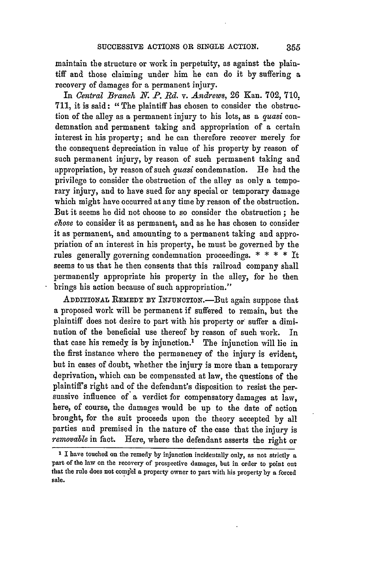maintain the structure or work in perpetuity, as against the plaintiff and those claiming under him he can do it by suffering a recovery of damages for a permanent injury.

In *Central Branch N. P. Rd. v. Andrews,* **26** Kan. 702, 710, 711, it is said: "The plaintiff has chosen to consider the obstruction of the alley as a permanent injury to his lots, as a *quasi* condemnation and permanent taking and appropriation of a certain interest in his property; and he can therefore recover merely for the consequent depreciation in value of his property by reason of such permanent injury, by reason of such permanent taking and appropriation, by reason of such *quasi* condemnation. He had the privilege to consider the obstruction of the alley as only a temporary injury, and to have sued for any special or temporary damage which might have occurred at any time by reason of the obstruction. But it seems he did not choose to so consider the obstruction ; he *chose* to consider it as permanent, and as he has chosen to consider it as permanent, and amounting to a permanent taking and appropriation of an interest in his property, he must be governed by the rules generally governing condemnation proceedings.  $* * * * It$ seems to us that he then consents that this railroad company shall permanently appropriate his property in the alley, for he then brings his action because of such appropriation."

ADDITIONAL REMEDY BY INJUNCTION.—But again suppose that a proposed work will be permanent if suffered to remain, but the plaintiff does not desire to part with his property or suffer a diminution of the beneficial use thereof **by** reason of such work. In that case his remedy is by injunction.' The injunction will lie in the first instance where the permanency of the injury is evident, but in cases of doubt, whether the injury is more than a temporary deprivation, which can be compensated at law, the questions of the plaintiff's right and of the defendant's disposition to resist the persuasive influence of a verdict for compensatory damages at law, here, of course, the damages would be up to the date of action brought, for the suit proceeds upon the theory accepted by all parties and premised in the nature of the case that the injury is *removable* in fact. Here, where the defendant asserts the right or

**<sup>1</sup>**I have touched on the remedy **by** injunction incidentally only, as not strictly a part of the law on the recovery of prospective damages, but in order to point out that the rule does not compel a property owner to part with his property by a forced sale.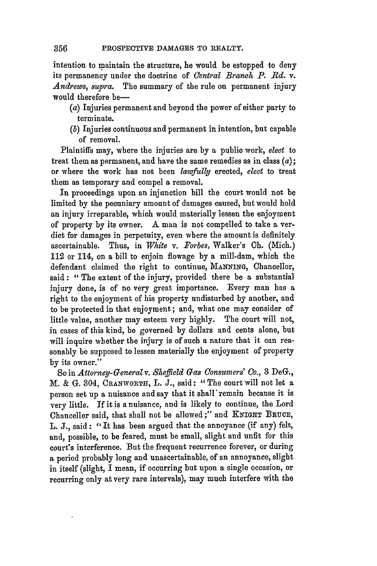intention to maintain the structure, he would be estopped to deny its permanency under the doctrine of *(Jentral Branch P. Rd.* v. *Andrews, supra.* The summary of the rule on permanent injury would therefore be-

- *(a)* Injuries permanent and beyond the power of either party to terminate.
- **(b)** Injuries continuous and permanent in intention, but capable of removal.

Plaintiffs may, where the injuries are by a public work, *elect* to treat them as permanent, and have the same remedies as in class  $(a)$ ; or where the work has not been *lawfully* erected, *elect* to treat them as temporary and compel a removal.

In proceedings upon an injunction bill the court would not be limited by the pecuniary amount of damages caused, but would hold an injury irreparable, which would materially lessen the enjoyment of property by its owner. A man is not compelled to take a verdict for damages in perpetuity, even where the amount is definitely ascertainable. Thus, in *White v. Forbes,* Walker's Ch. (Mich.) 112 or 114, on a bill to enjoin flowage by a mill-dam, which the defendant claimed the right to continue, **MANNiNG,** Chancellor, said : " The extent of the injury, provided there be a substantial injury done, is of no very great importance. Every man has a right to the enjoyment of his property undisturbed by another, and to be protected in that enjoyment; and, what one may consider of little value, another may esteem very highly. The court will not, in cases of this kind, be governed by dollars and cents alone, but will inquire whether the injury is of such a nature that it can reasonably be supposed to lessen materially the enjoyment of property by its owner."

So in *Attorney-General v. Sheffield Gas Consumers' Co.*, 3 DeG., M. & G. 304, CRANWORTE, L. J., said: "The court will not let a person set up a nuisance and say that it shall"remain because it is very little. If it is a nuisance, and is likely to continue, the Lord Chancellor said, that shall not be allowed ;" and **KNIGHT BRUCE,** L. J., said : "It has been argued that the annoyance (if any) felt, and, possible, to be feared, must be small, slight and unfit for this court's interference. But the frequent recurrence forever, or during a period probably long and unascertainable, of an annoyance, slight in itself (slight, I mean, if occurring but upon a single occasion, or recurring only at very rare intervals), may much interfere with the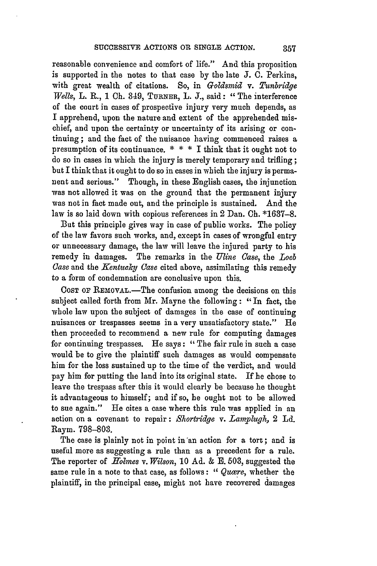reasonable convenience and comfort of life." And this proposition is supported in the notes to that case **by** the late **J. 0.** Perkins, with great wealth of citations. So, in *Goldsmid v. Tunbridge Wells,* L. R., **1** Ch. 349, **TURNER,** L. **J.,** said: " The interference of the court in cases of prospective injury very much depends, as I apprehend, upon the nature and extent of the apprehended mischief, and upon the certainty or uncertainty of its arising or continuing **;** and the fact of the nuisance having commenced raises a presumption of its continuance.  $* * * I$  think that it ought not to do so in cases in which the injury is merely temporary and trifling; but I think that it ought to do so in cases in which the injury is permanent and serious." Though, in these English cases, the injunction was not allowed it was on the ground that the permanent injury was not in fact made out, and the principle is sustained. And the law is so laid down with copious references in 2 Dan. **Oh. \*1637-8.**

But this principle gives way in case of public works. The policy of the law favors such works, and, except in cases of wrongful entry or unnecessary damage, the law will leave the injured party to his remedy in damages. The remarks in the *Uline Case,* the *Loeb Case* and the *Kentucky Case* cited above, assimilating this remedy to a form of condemnation are conclusive upon this.

COST OF REMOVAL.—The confusion among the decisions on this subject called forth from Mr. Mayne the following **:** "In fact, the whole law upon the subject of damages in the case of continuing nuisances or trespasses seems in a very unsatisfactory state." He then proceeded to recommend a new rule for computing damages for continuing trespasses. He says: "The fair rule in such a case would be to give the plaintiff such damages as would compensate him for the loss sustained up to the time of the verdict, and would pay him for putting the land into its original state. If he chose to leave the trespass after this it would clearly be because he thought it advantageous to himself; and if so, he ought not to be allowed to sue again." He cites a case where this rule was applied in an action on a covenant to repair: *Shortridge v. Lamplugh*, 2 Ld. Raym. 798-803.

The case is plainly not in point in'an action for a tort; and is useful more as suggesting a rule than as a precedent for a rule. The reporter of *Holmes v. Wilson,* 10 Ad. & E. 503, suggested the same rule in a note to that case, as follows: " *Qucere,* whether the plaintiff, in the principal case, might not have recovered damages